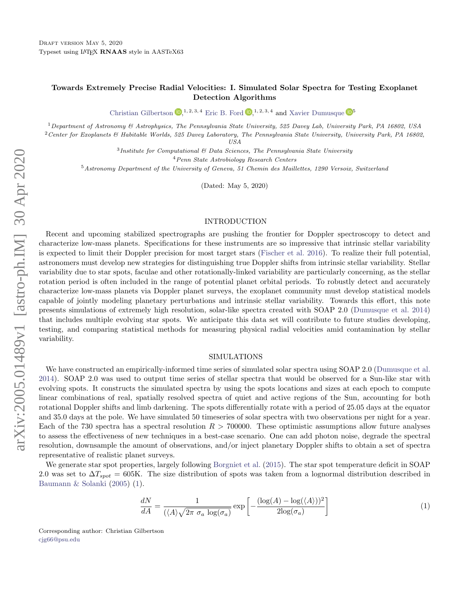# Towards Extremely Precise Radial Velocities: I. Simulated Solar Spectra for Testing Exoplanet Detection Algorithms

[Christian Gilbertson](http://orcid.org/0000-0002-1743-3684)  $\mathbb{D}^{1,2,3,4}_{\cdot}$  [Eric B. Ford](http://orcid.org/0000-0001-6545-639X)  $\mathbb{D}^{1,2,3,4}_{\cdot}$  and [Xavier Dumusque](http://orcid.org/0000-0002-9332-2011)  $\mathbb{D}^{5}$ 

<sup>1</sup>Department of Astronomy & Astrophysics, The Pennsylvania State University, 525 Davey Lab, University Park, PA 16802, USA

 $2$ Center for Exoplanets & Habitable Worlds, 525 Davey Laboratory, The Pennsylvania State University, University Park, PA 16802, USA

 $3$ Institute for Computational  $6$  Data Sciences, The Pennsylvania State University

<sup>4</sup>Penn State Astrobiology Research Centers

<sup>5</sup>Astronomy Department of the University of Geneva, 51 Chemin des Maillettes, 1290 Versoix, Switzerland

(Dated: May 5, 2020)

#### INTRODUCTION

Recent and upcoming stabilized spectrographs are pushing the frontier for Doppler spectroscopy to detect and characterize low-mass planets. Specifications for these instruments are so impressive that intrinsic stellar variability is expected to limit their Doppler precision for most target stars [\(Fischer et al.](#page-2-0) [2016\)](#page-2-0). To realize their full potential, astronomers must develop new strategies for distinguishing true Doppler shifts from intrinsic stellar variability. Stellar variability due to star spots, faculae and other rotationally-linked variability are particularly concerning, as the stellar rotation period is often included in the range of potential planet orbital periods. To robustly detect and accurately characterize low-mass planets via Doppler planet surveys, the exoplanet community must develop statistical models capable of jointly modeling planetary perturbations and intrinsic stellar variability. Towards this effort, this note presents simulations of extremely high resolution, solar-like spectra created with SOAP 2.0 [\(Dumusque et al.](#page-2-1) [2014\)](#page-2-1) that includes multiple evolving star spots. We anticipate this data set will contribute to future studies developing, testing, and comparing statistical methods for measuring physical radial velocities amid contamination by stellar variability.

### SIMULATIONS

<span id="page-0-3"></span>We have constructed an empirically-informed time series of simulated solar spectra using SOAP 2.0 [\(Dumusque et al.](#page-2-1) [2014\)](#page-2-1). SOAP 2.0 was used to output time series of stellar spectra that would be observed for a Sun-like star with evolving spots. It constructs the simulated spectra by using the spots locations and sizes at each epoch to compute linear combinations of real, spatially resolved spectra of quiet and active regions of the Sun, accounting for both rotational Doppler shifts and limb darkening. The spots differentially rotate with a period of 25.05 days at the equator and 35.0 days at the pole. We have simulated 50 timeseries of solar spectra with two observations per night for a year. Each of the 730 spectra has a spectral resolution  $R > 700000$ . These optimistic assumptions allow future analyses to assess the effectiveness of new techniques in a best-case scenario. One can add photon noise, degrade the spectral resolution, downsample the amount of observations, and/or inject planetary Doppler shifts to obtain a set of spectra representative of realistic planet surveys.

<span id="page-0-2"></span>We generate star spot properties, largely following [Borgniet et al.](#page-1-0) [\(2015\)](#page-1-0). The star spot temperature deficit in SOAP 2.0 was set to  $\Delta T_{spot} = 605$ K. The size distribution of spots was taken from a lognormal distribution described in [Baumann & Solanki](#page-1-1) [\(2005\)](#page-1-1) [\(1\)](#page-0-2).

$$
\frac{dN}{dA} = \frac{1}{(\langle A \rangle \sqrt{2\pi \sigma_a \log(\sigma_a)}} \exp\left[-\frac{(\log(A) - \log(\langle A \rangle))^2}{2\log(\sigma_a)}\right] \tag{1}
$$

<span id="page-0-1"></span><span id="page-0-0"></span>Corresponding author: Christian Gilbertson [cjg66@psu.edu](mailto: cjg66@psu.edu)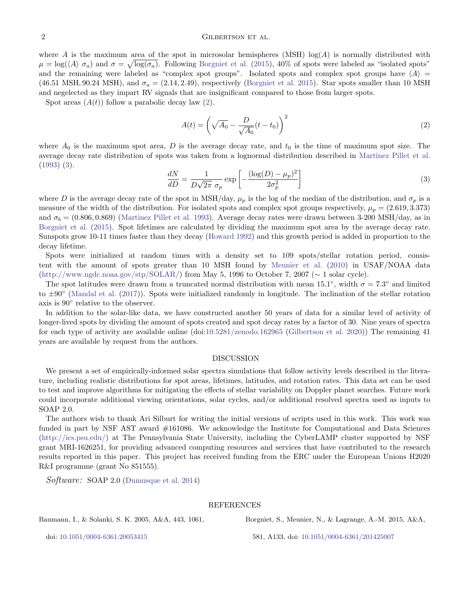## 2 GILBERTSON ET AL.

where A is the maximum area of the spot in microsolar hemispheres (MSH)  $log(A)$  is normally distributed with  $\mu = \log(\langle A \rangle \sigma_a)$  and  $\sigma = \sqrt{\log(\sigma_a)}$ . Following [Borgniet et al.](#page-1-0) [\(2015\)](#page-1-0), 40% of spots were labeled as "isolated spots" and the remaining were labeled as "complex spot groups". Isolated spots and complex spot groups have  $\langle A \rangle$  = (46.51 MSH, 90.24 MSH), and  $\sigma_a = (2.14, 2.49)$ , respectively [\(Borgniet et al.](#page-1-0) [2015\)](#page-1-0). Star spots smaller than 10 MSH and negelected as they impart RV signals that are insignificant compared to those from larger spots.

Spot areas  $(A(t))$  follow a parabolic decay law  $(2)$ .

<span id="page-1-2"></span>
$$
A(t) = \left(\sqrt{A_0} - \frac{D}{\sqrt{A_0}}(t - t_0)\right)^2\tag{2}
$$

<span id="page-1-3"></span>where  $A_0$  is the maximum spot area, D is the average decay rate, and  $t_0$  is the time of maximum spot size. The average decay rate distribution of spots was taken from a lognormal distribution described in [Martinez Pillet et al.](#page-2-2) [\(1993\)](#page-2-2) [\(3\)](#page-1-3).

$$
\frac{dN}{dD} = \frac{1}{D\sqrt{2\pi} \sigma_p} \exp\left[-\frac{(\log(D) - \mu_p)^2}{2\sigma_p^2}\right]
$$
\n(3)

where D is the average decay rate of the spot in MSH/day,  $\mu_p$  is the log of the median of the distribution, and  $\sigma_p$  is a measure of the width of the distribution. For isolated spots and complex spot groups respectively,  $\mu_p = (2.619, 3.373)$ and  $\sigma_b = (0.806, 0.869)$  [\(Martinez Pillet et al.](#page-2-2) [1993\)](#page-2-2). Average decay rates were drawn between 3-200 MSH/day, as in [Borgniet et al.](#page-1-0) [\(2015\)](#page-1-0). Spot lifetimes are calculated by dividing the maximum spot area by the average decay rate. Sunspots grow 10-11 times faster than they decay [\(Howard](#page-2-3) [1992\)](#page-2-3) and this growth period is added in proportion to the decay lifetime.

Spots were initialized at random times with a density set to 109 spots/stellar rotation period, consistent with the amount of spots greater than 10 MSH found by [Meunier et al.](#page-2-4) [\(2010\)](#page-2-4) in USAF/NOAA data [\(http://www.ngdc.noaa.gov/stp/SOLAR/\)](http://www.ngdc.noaa.gov/stp/SOLAR/) from May 5, 1996 to October 7, 2007 (∼ 1 solar cycle).

The spot latitudes were drawn from a truncated normal distribution with mean 15.1<sup>°</sup>, width  $\sigma = 7.3$ <sup>°</sup> and limited to ±90◦ [\(Mandal et al.](#page-2-5) [\(2017\)](#page-2-5)). Spots were initialized randomly in longitude. The inclination of the stellar rotation axis is 90◦ relative to the observer.

In addition to the solar-like data, we have constructed another 50 years of data for a similar level of activity of longer-lived spots by dividing the amount of spots created and spot decay rates by a factor of 30. Nine years of spectra for each type of activity are available online (doi[:10.5281/zenodo.162965](https://doi.org/10.5281/zenodo.3753254) [\(Gilbertson et al.](#page-2-6) [2020\)](#page-2-6)) The remaining 41 years are available by request from the authors.

#### DISCUSSION

We present a set of empirically-informed solar spectra simulations that follow activity levels described in the literature, including realistic distributions for spot areas, lifetimes, latitudes, and rotation rates. This data set can be used to test and improve algorithms for mitigating the effects of stellar variability on Doppler planet searches. Future work could incorporate additional viewing orientations, solar cycles, and/or additional resolved spectra used as inputs to SOAP 2.0.

The authors wish to thank Ari Silburt for writing the initial versions of scripts used in this work. This work was funded in part by NSF AST award  $\#161086$ . We acknowledge the Institute for Computational and Data Sciences [\(http://ics.psu.edu/\)](http://ics.psu.edu/) at The Pennsylvania State University, including the CyberLAMP cluster supported by NSF grant MRI-1626251, for providing advanced computing resources and services that have contributed to the research results reported in this paper. This project has received funding from the ERC under the European Unions H2020 R&I programme (grant No 851555).

Software: SOAP 2.0 [\(Dumusque et al.](#page-2-1) [2014\)](#page-2-1)

### REFERENCES

<span id="page-1-1"></span>Baumann, I., & Solanki, S. K. 2005, A&A, 443, 1061,

doi: [10.1051/0004-6361:20053415](http://doi.org/10.1051/0004-6361:20053415)

<span id="page-1-0"></span>Borgniet, S., Meunier, N., & Lagrange, A.-M. 2015, A&A,

581, A133, doi: [10.1051/0004-6361/201425007](http://doi.org/10.1051/0004-6361/201425007)